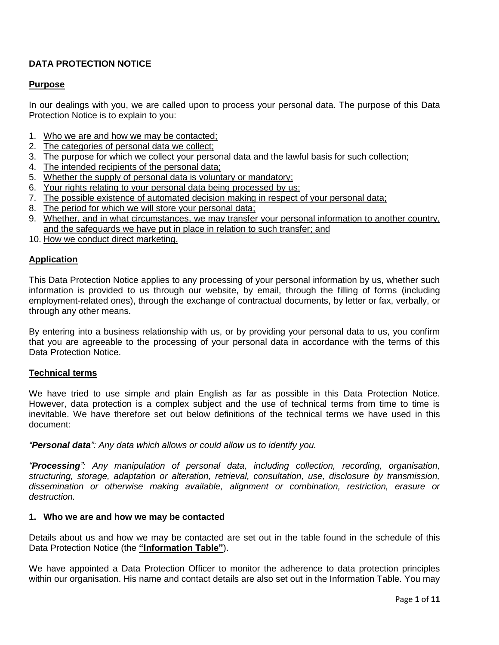# **DATA PROTECTION NOTICE**

# **Purpose**

In our dealings with you, we are called upon to process your personal data. The purpose of this Data Protection Notice is to explain to you:

- 1. Who we are and how we may be contacted;
- 2. The categories of personal data we collect;
- 3. The purpose for which we collect your personal data and the lawful basis for such collection;
- 4. The intended recipients of the personal data;
- 5. Whether the supply of personal data is voluntary or mandatory;
- 6. Your rights relating to your personal data being processed by us;
- 7. The possible existence of automated decision making in respect of your personal data;
- 8. The period for which we will store your personal data;
- 9. Whether, and in what circumstances, we may transfer your personal information to another country, and the safeguards we have put in place in relation to such transfer; and
- 10. How we conduct direct marketing.

## **Application**

This Data Protection Notice applies to any processing of your personal information by us, whether such information is provided to us through our website, by email, through the filling of forms (including employment-related ones), through the exchange of contractual documents, by letter or fax, verbally, or through any other means.

By entering into a business relationship with us, or by providing your personal data to us, you confirm that you are agreeable to the processing of your personal data in accordance with the terms of this Data Protection Notice.

# **Technical terms**

We have tried to use simple and plain English as far as possible in this Data Protection Notice. However, data protection is a complex subject and the use of technical terms from time to time is inevitable. We have therefore set out below definitions of the technical terms we have used in this document:

*"Personal data": Any data which allows or could allow us to identify you.*

*"Processing": Any manipulation of personal data, including collection, recording, organisation, structuring, storage, adaptation or alteration, retrieval, consultation, use, disclosure by transmission, dissemination or otherwise making available, alignment or combination, restriction, erasure or destruction.*

#### **1. Who we are and how we may be contacted**

Details about us and how we may be contacted are set out in the table found in the schedule of this Data Protection Notice (the **"Information Table"**).

We have appointed a Data Protection Officer to monitor the adherence to data protection principles within our organisation. His name and contact details are also set out in the Information Table. You may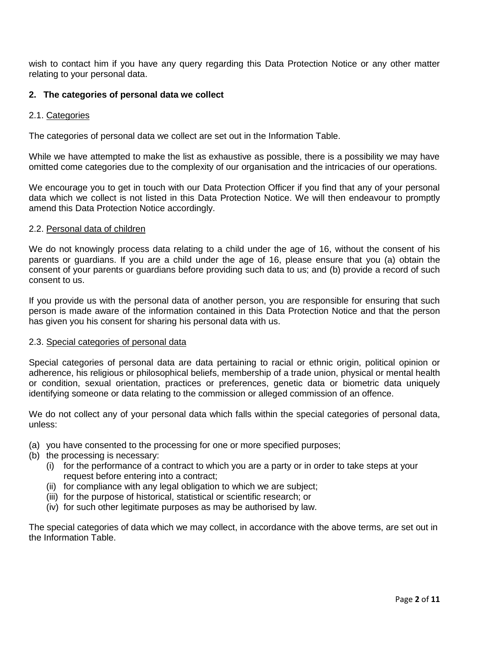wish to contact him if you have any query regarding this Data Protection Notice or any other matter relating to your personal data.

# **2. The categories of personal data we collect**

#### 2.1. Categories

The categories of personal data we collect are set out in the Information Table.

While we have attempted to make the list as exhaustive as possible, there is a possibility we may have omitted come categories due to the complexity of our organisation and the intricacies of our operations.

We encourage you to get in touch with our Data Protection Officer if you find that any of your personal data which we collect is not listed in this Data Protection Notice. We will then endeavour to promptly amend this Data Protection Notice accordingly.

#### 2.2. Personal data of children

We do not knowingly process data relating to a child under the age of 16, without the consent of his parents or guardians. If you are a child under the age of 16, please ensure that you (a) obtain the consent of your parents or guardians before providing such data to us; and (b) provide a record of such consent to us.

If you provide us with the personal data of another person, you are responsible for ensuring that such person is made aware of the information contained in this Data Protection Notice and that the person has given you his consent for sharing his personal data with us.

#### 2.3. Special categories of personal data

Special categories of personal data are data pertaining to racial or ethnic origin, political opinion or adherence, his religious or philosophical beliefs, membership of a trade union, physical or mental health or condition, sexual orientation, practices or preferences, genetic data or biometric data uniquely identifying someone or data relating to the commission or alleged commission of an offence.

We do not collect any of your personal data which falls within the special categories of personal data, unless:

- (a) you have consented to the processing for one or more specified purposes;
- (b) the processing is necessary:
	- (i) for the performance of a contract to which you are a party or in order to take steps at your request before entering into a contract;
	- (ii) for compliance with any legal obligation to which we are subject;
	- (iii) for the purpose of historical, statistical or scientific research; or
	- (iv) for such other legitimate purposes as may be authorised by law.

The special categories of data which we may collect, in accordance with the above terms, are set out in the Information Table.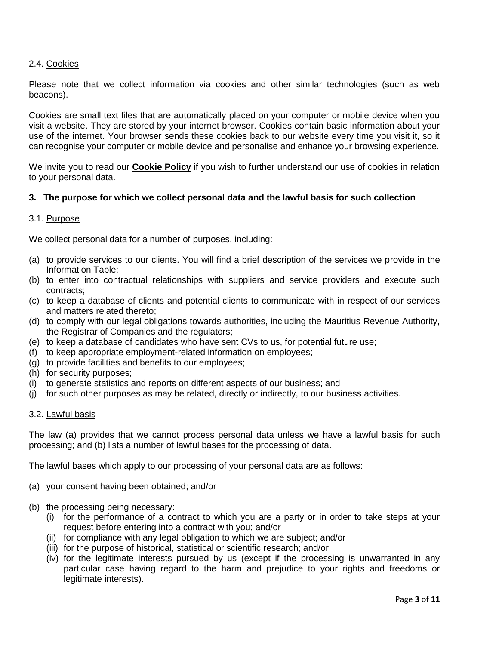# 2.4. Cookies

Please note that we collect information via cookies and other similar technologies (such as web beacons).

Cookies are small text files that are automatically placed on your computer or mobile device when you visit a website. They are stored by your internet browser. Cookies contain basic information about your use of the internet. Your browser sends these cookies back to our website every time you visit it, so it can recognise your computer or mobile device and personalise and enhance your browsing experience.

We invite you to read our **Cookie Policy** if you wish to further understand our use of cookies in relation to your personal data.

#### **3. The purpose for which we collect personal data and the lawful basis for such collection**

#### 3.1. Purpose

We collect personal data for a number of purposes, including:

- (a) to provide services to our clients. You will find a brief description of the services we provide in the Information Table;
- (b) to enter into contractual relationships with suppliers and service providers and execute such contracts;
- (c) to keep a database of clients and potential clients to communicate with in respect of our services and matters related thereto;
- (d) to comply with our legal obligations towards authorities, including the Mauritius Revenue Authority, the Registrar of Companies and the regulators;
- (e) to keep a database of candidates who have sent CVs to us, for potential future use;
- (f) to keep appropriate employment-related information on employees;
- (g) to provide facilities and benefits to our employees;
- (h) for security purposes;
- (i) to generate statistics and reports on different aspects of our business; and
- (j) for such other purposes as may be related, directly or indirectly, to our business activities.

#### 3.2. Lawful basis

The law (a) provides that we cannot process personal data unless we have a lawful basis for such processing; and (b) lists a number of lawful bases for the processing of data.

The lawful bases which apply to our processing of your personal data are as follows:

- (a) your consent having been obtained; and/or
- (b) the processing being necessary:
	- (i) for the performance of a contract to which you are a party or in order to take steps at your request before entering into a contract with you; and/or
	- (ii) for compliance with any legal obligation to which we are subject; and/or
	- (iii) for the purpose of historical, statistical or scientific research; and/or
	- (iv) for the legitimate interests pursued by us (except if the processing is unwarranted in any particular case having regard to the harm and prejudice to your rights and freedoms or legitimate interests).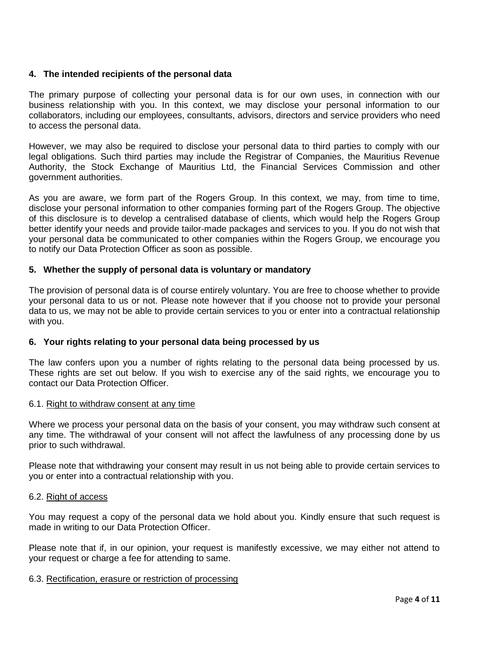# **4. The intended recipients of the personal data**

The primary purpose of collecting your personal data is for our own uses, in connection with our business relationship with you. In this context, we may disclose your personal information to our collaborators, including our employees, consultants, advisors, directors and service providers who need to access the personal data.

However, we may also be required to disclose your personal data to third parties to comply with our legal obligations. Such third parties may include the Registrar of Companies, the Mauritius Revenue Authority, the Stock Exchange of Mauritius Ltd, the Financial Services Commission and other government authorities.

As you are aware, we form part of the Rogers Group. In this context, we may, from time to time, disclose your personal information to other companies forming part of the Rogers Group. The objective of this disclosure is to develop a centralised database of clients, which would help the Rogers Group better identify your needs and provide tailor-made packages and services to you. If you do not wish that your personal data be communicated to other companies within the Rogers Group, we encourage you to notify our Data Protection Officer as soon as possible.

## **5. Whether the supply of personal data is voluntary or mandatory**

The provision of personal data is of course entirely voluntary. You are free to choose whether to provide your personal data to us or not. Please note however that if you choose not to provide your personal data to us, we may not be able to provide certain services to you or enter into a contractual relationship with you.

#### **6. Your rights relating to your personal data being processed by us**

The law confers upon you a number of rights relating to the personal data being processed by us. These rights are set out below. If you wish to exercise any of the said rights, we encourage you to contact our Data Protection Officer.

# 6.1. Right to withdraw consent at any time

Where we process your personal data on the basis of your consent, you may withdraw such consent at any time. The withdrawal of your consent will not affect the lawfulness of any processing done by us prior to such withdrawal.

Please note that withdrawing your consent may result in us not being able to provide certain services to you or enter into a contractual relationship with you.

#### 6.2. Right of access

You may request a copy of the personal data we hold about you. Kindly ensure that such request is made in writing to our Data Protection Officer.

Please note that if, in our opinion, your request is manifestly excessive, we may either not attend to your request or charge a fee for attending to same.

#### 6.3. Rectification, erasure or restriction of processing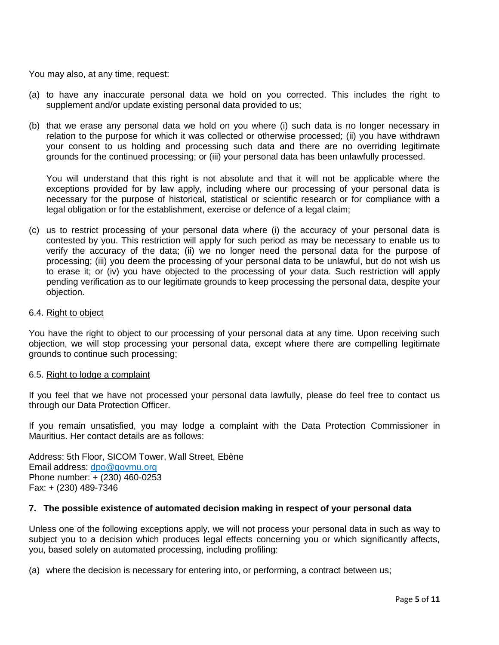You may also, at any time, request:

- (a) to have any inaccurate personal data we hold on you corrected. This includes the right to supplement and/or update existing personal data provided to us;
- (b) that we erase any personal data we hold on you where (i) such data is no longer necessary in relation to the purpose for which it was collected or otherwise processed; (ii) you have withdrawn your consent to us holding and processing such data and there are no overriding legitimate grounds for the continued processing; or (iii) your personal data has been unlawfully processed.

You will understand that this right is not absolute and that it will not be applicable where the exceptions provided for by law apply, including where our processing of your personal data is necessary for the purpose of historical, statistical or scientific research or for compliance with a legal obligation or for the establishment, exercise or defence of a legal claim;

(c) us to restrict processing of your personal data where (i) the accuracy of your personal data is contested by you. This restriction will apply for such period as may be necessary to enable us to verify the accuracy of the data; (ii) we no longer need the personal data for the purpose of processing; (iii) you deem the processing of your personal data to be unlawful, but do not wish us to erase it; or (iv) you have objected to the processing of your data. Such restriction will apply pending verification as to our legitimate grounds to keep processing the personal data, despite your objection.

#### 6.4. Right to object

You have the right to object to our processing of your personal data at any time. Upon receiving such objection, we will stop processing your personal data, except where there are compelling legitimate grounds to continue such processing;

#### 6.5. Right to lodge a complaint

If you feel that we have not processed your personal data lawfully, please do feel free to contact us through our Data Protection Officer.

If you remain unsatisfied, you may lodge a complaint with the Data Protection Commissioner in Mauritius. Her contact details are as follows:

Address: 5th Floor, SICOM Tower, Wall Street, Ebène Email address: [dpo@govmu.org](mailto:dpo@govmu.org) Phone number: + (230) 460-0253 Fax: + (230) 489-7346

#### **7. The possible existence of automated decision making in respect of your personal data**

Unless one of the following exceptions apply, we will not process your personal data in such as way to subject you to a decision which produces legal effects concerning you or which significantly affects, you, based solely on automated processing, including profiling:

(a) where the decision is necessary for entering into, or performing, a contract between us;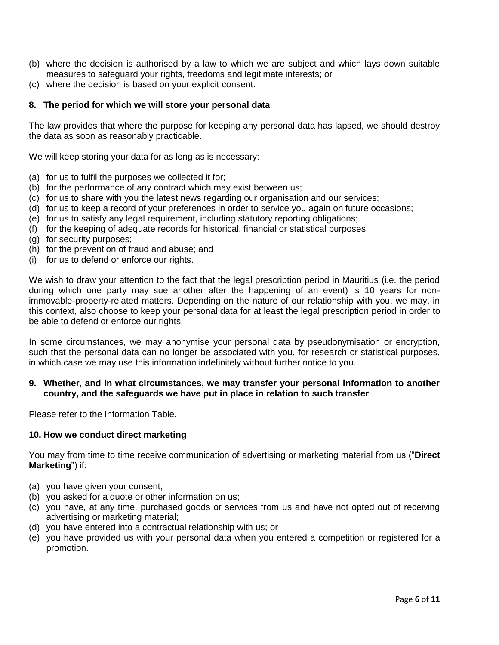- (b) where the decision is authorised by a law to which we are subject and which lays down suitable measures to safeguard your rights, freedoms and legitimate interests; or
- (c) where the decision is based on your explicit consent.

## **8. The period for which we will store your personal data**

The law provides that where the purpose for keeping any personal data has lapsed, we should destroy the data as soon as reasonably practicable.

We will keep storing your data for as long as is necessary:

- (a) for us to fulfil the purposes we collected it for;
- (b) for the performance of any contract which may exist between us;
- (c) for us to share with you the latest news regarding our organisation and our services;
- (d) for us to keep a record of your preferences in order to service you again on future occasions;
- (e) for us to satisfy any legal requirement, including statutory reporting obligations;
- (f) for the keeping of adequate records for historical, financial or statistical purposes;
- (g) for security purposes;
- (h) for the prevention of fraud and abuse; and
- (i) for us to defend or enforce our rights.

We wish to draw your attention to the fact that the legal prescription period in Mauritius (i.e. the period during which one party may sue another after the happening of an event) is 10 years for nonimmovable-property-related matters. Depending on the nature of our relationship with you, we may, in this context, also choose to keep your personal data for at least the legal prescription period in order to be able to defend or enforce our rights.

In some circumstances, we may anonymise your personal data by pseudonymisation or encryption, such that the personal data can no longer be associated with you, for research or statistical purposes, in which case we may use this information indefinitely without further notice to you.

## **9. Whether, and in what circumstances, we may transfer your personal information to another country, and the safeguards we have put in place in relation to such transfer**

Please refer to the Information Table.

#### **10. How we conduct direct marketing**

You may from time to time receive communication of advertising or marketing material from us ("**Direct Marketing**") if:

- (a) you have given your consent;
- (b) you asked for a quote or other information on us;
- (c) you have, at any time, purchased goods or services from us and have not opted out of receiving advertising or marketing material;
- (d) you have entered into a contractual relationship with us; or
- (e) you have provided us with your personal data when you entered a competition or registered for a promotion.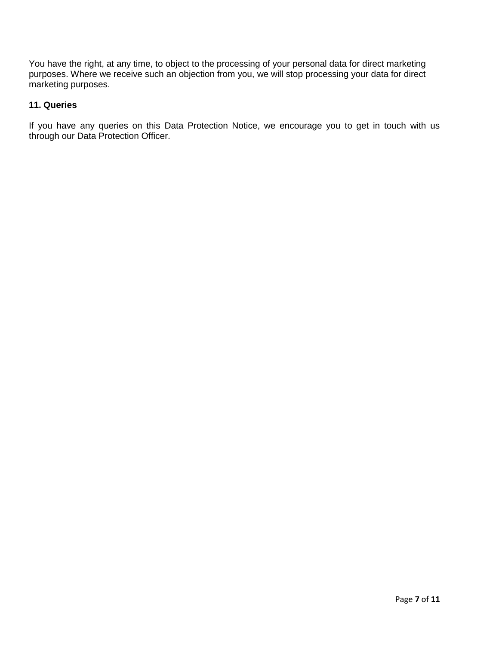You have the right, at any time, to object to the processing of your personal data for direct marketing purposes. Where we receive such an objection from you, we will stop processing your data for direct marketing purposes.

# **11. Queries**

If you have any queries on this Data Protection Notice, we encourage you to get in touch with us through our Data Protection Officer.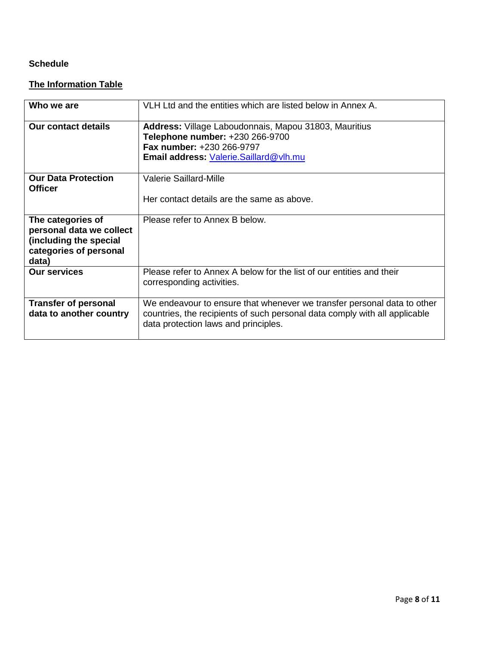# **Schedule**

# **The Information Table**

| Who we are                                                                                                 | VLH Ltd and the entities which are listed below in Annex A.                                                                                                                                   |
|------------------------------------------------------------------------------------------------------------|-----------------------------------------------------------------------------------------------------------------------------------------------------------------------------------------------|
| <b>Our contact details</b>                                                                                 | Address: Village Laboudonnais, Mapou 31803, Mauritius<br>Telephone number: +230 266-9700<br>Fax number: +230 266-9797<br>Email address: Valerie.Saillard@vlh.mu                               |
| <b>Our Data Protection</b><br><b>Officer</b>                                                               | <b>Valerie Saillard-Mille</b><br>Her contact details are the same as above.                                                                                                                   |
| The categories of<br>personal data we collect<br>(including the special<br>categories of personal<br>data) | Please refer to Annex B below.                                                                                                                                                                |
| <b>Our services</b>                                                                                        | Please refer to Annex A below for the list of our entities and their<br>corresponding activities.                                                                                             |
| <b>Transfer of personal</b><br>data to another country                                                     | We endeavour to ensure that whenever we transfer personal data to other<br>countries, the recipients of such personal data comply with all applicable<br>data protection laws and principles. |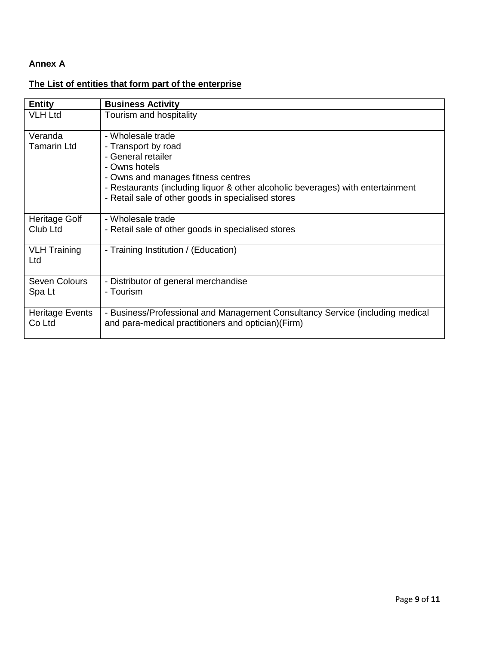# **Annex A**

# **The List of entities that form part of the enterprise**

| <b>Entity</b>       | <b>Business Activity</b>                                                        |
|---------------------|---------------------------------------------------------------------------------|
| <b>VLH Ltd</b>      | Tourism and hospitality                                                         |
| Veranda             | - Wholesale trade                                                               |
| <b>Tamarin Ltd</b>  | - Transport by road                                                             |
|                     | - General retailer                                                              |
|                     | - Owns hotels                                                                   |
|                     | - Owns and manages fitness centres                                              |
|                     | - Restaurants (including liquor & other alcoholic beverages) with entertainment |
|                     | - Retail sale of other goods in specialised stores                              |
|                     |                                                                                 |
| Heritage Golf       | - Wholesale trade                                                               |
| Club Ltd            | - Retail sale of other goods in specialised stores                              |
|                     |                                                                                 |
| <b>VLH Training</b> | - Training Institution / (Education)                                            |
| Ltd                 |                                                                                 |
| Seven Colours       | - Distributor of general merchandise                                            |
| Spa Lt              | - Tourism                                                                       |
|                     |                                                                                 |
| Heritage Events     | - Business/Professional and Management Consultancy Service (including medical   |
| Co Ltd              | and para-medical practitioners and optician) (Firm)                             |
|                     |                                                                                 |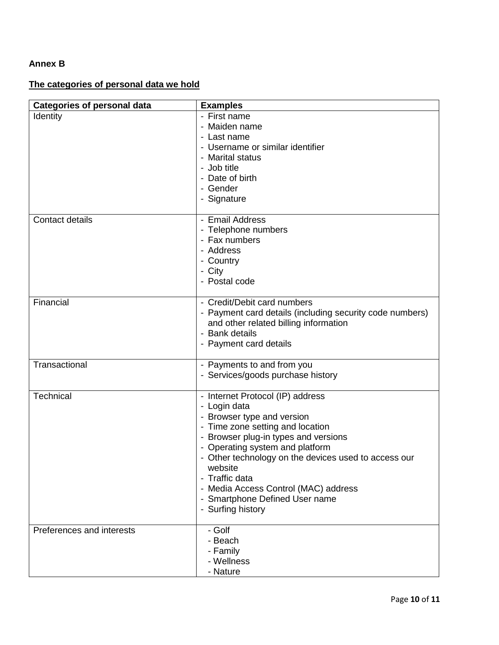# **Annex B**

# **The categories of personal data we hold**

| <b>Categories of personal data</b> | <b>Examples</b>                                                                                                                                                                                                                                                                                                                                                                   |
|------------------------------------|-----------------------------------------------------------------------------------------------------------------------------------------------------------------------------------------------------------------------------------------------------------------------------------------------------------------------------------------------------------------------------------|
| Identity                           | - First name<br>- Maiden name<br>- Last name<br>- Username or similar identifier<br>- Marital status<br>- Job title<br>- Date of birth<br>- Gender<br>- Signature                                                                                                                                                                                                                 |
| Contact details                    | - Email Address<br>- Telephone numbers<br>- Fax numbers<br>- Address<br>- Country<br>- City<br>- Postal code                                                                                                                                                                                                                                                                      |
| Financial                          | - Credit/Debit card numbers<br>- Payment card details (including security code numbers)<br>and other related billing information<br>- Bank details<br>- Payment card details                                                                                                                                                                                                      |
| Transactional                      | - Payments to and from you<br>- Services/goods purchase history                                                                                                                                                                                                                                                                                                                   |
| Technical                          | - Internet Protocol (IP) address<br>- Login data<br>- Browser type and version<br>- Time zone setting and location<br>- Browser plug-in types and versions<br>- Operating system and platform<br>- Other technology on the devices used to access our<br>website<br>- Traffic data<br>- Media Access Control (MAC) address<br>- Smartphone Defined User name<br>- Surfing history |
| Preferences and interests          | - Golf<br>- Beach<br>- Family<br>- Wellness<br>- Nature                                                                                                                                                                                                                                                                                                                           |